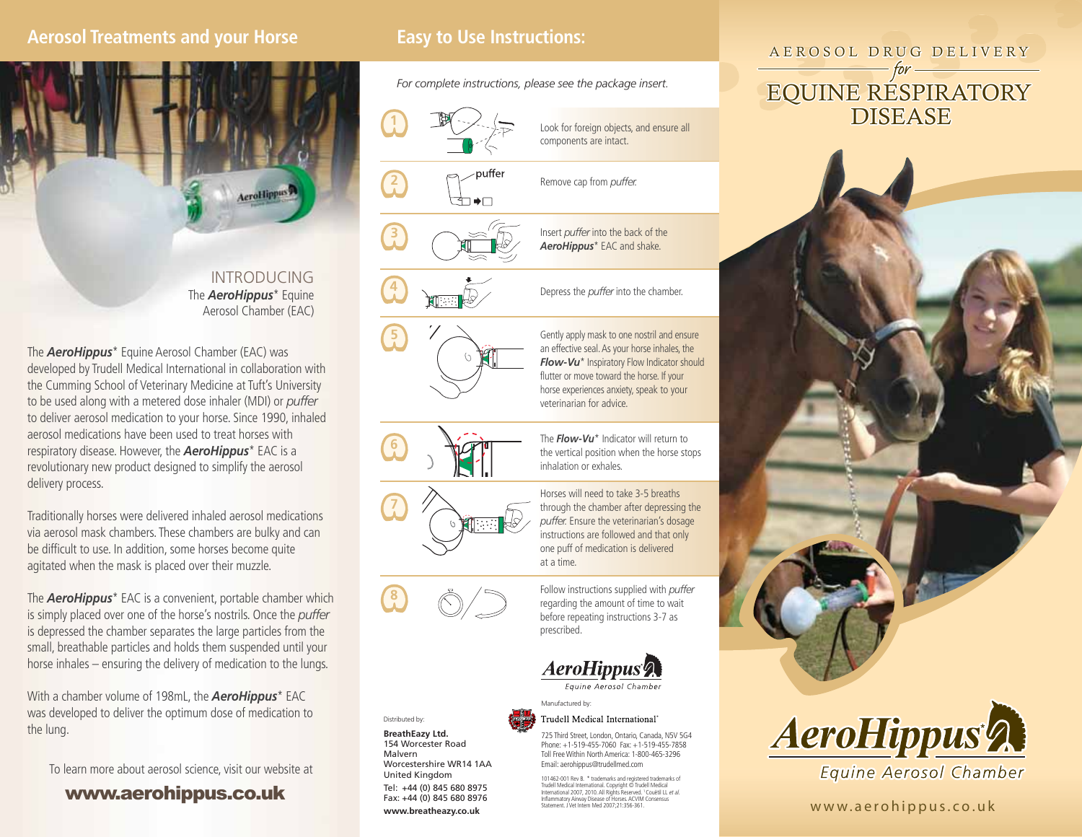### **Aerosol Treatments and your Horse**



INTRODUCINGThe *AeroHippus*\* Equine Aerosol Chamber (EAC)

The *AeroHippus*\* Equine Aerosol Chamber (EAC) was developed by Trudell Medical International in collaboration with the Cumming School of Veterinary Medicine at Tuft's University to be used along with <sup>a</sup> metered dose inhaler (MDI) or *puffer* to deliver aerosol medication to your horse. Since 1990, inhaled aerosol medications have been used to treat horses withrespiratory disease. However, the *AeroHippus*\* EAC is <sup>a</sup> revolutionary new product designed to simplify the aerosol delivery process.

Traditionally horses were delivered inhaled aerosol medications via aerosol mask chambers. These chambers are bulky and can be difficult to use. In addition, some horses become quite agitated when the mask is placed over their muzzle.

The *AeroHippus*\* EAC is <sup>a</sup> convenient, portable chamber which is simply placed over one of the horse's nostrils. Once the *puffer* is depressed the chamber separates the large particles from the small, breathable particles and holds them suspended until your horse inhales – ensuring the delivery of medication to the lungs.

With <sup>a</sup> chamber volume of 198mL, the *AeroHippus*\* EAC was developed to deliver the optimum dose of medication to the lung.

To learn more about aerosol science, visit our website at

#### www.aerohippus.co.uk

*For complete instructions, please see the package insert.*

















Distributed by: **BreathEazy Ltd.** 154 Worcester RoadMalvern

 Worcestershire WR14 1AAUnited Kingdom Tel: +44 (0) 845 680 8975 Fax: +44 (0) 845 680 8976 **www.breatheazy.co.uk**

Horses will need to take 3-5 breathsthrough the chamber after depressing the *puffer.* Ensure the veterinarian's dosage instructions are followed and that only one puff of medication is delivered

The *Flow-Vu*\* Indicator will return tothe vertical position when the horse stops

Look for foreign objects, and ensure all

components are intact.

Remove cap from *puffer.*

veterinarian for advice.

inhalation or exhales.

at a time.

Insert *puffer* into the back of the *AeroHippus*\* EAC and shake.

Depress the *puffer* into the chamber.

Gently apply mask to one nostril and ensure an effective seal. As your horse inhales, the *Flow-Vu*\* Inspiratory Flow Indicator should flutter or move toward the horse. If your horse experiences anxiety, speak to your

Follow instructions supplied with *puffer* regarding the amount of time to wait before repeating instructions 3-7 as prescribed.



Equine Aerosol Chamber

#### Manufactured by: Trudell Medical International'

725 Third Street, London, Ontario, Canada, N5V 5G4 Phone: +1-519-455-7060 Fax: +1-519-455-7858Toll Free Within North America: 1-800-465-3296 Email: aerohippus@trudellmed.com

101462-001 Rev B. \* trademarks and registered trademarks of<br>Trudell Medical International. Copyright © Trudell Medical<br>International 2007, 2010. All Rights Reserved. 1 Couëtil LL *et al.* Inflammatory Airway Disease of Horses. ACVIM Consensus Statement. J Vet Intern Med 2007;21:356-361.

# AEROSOL DRUG DELIVERY Easy to Use Instructions:<br>
For complete instructions, please see the package insert.<br> **EQUINE RESPIRATORY DISEASE**





www.aerohippus.co.uk